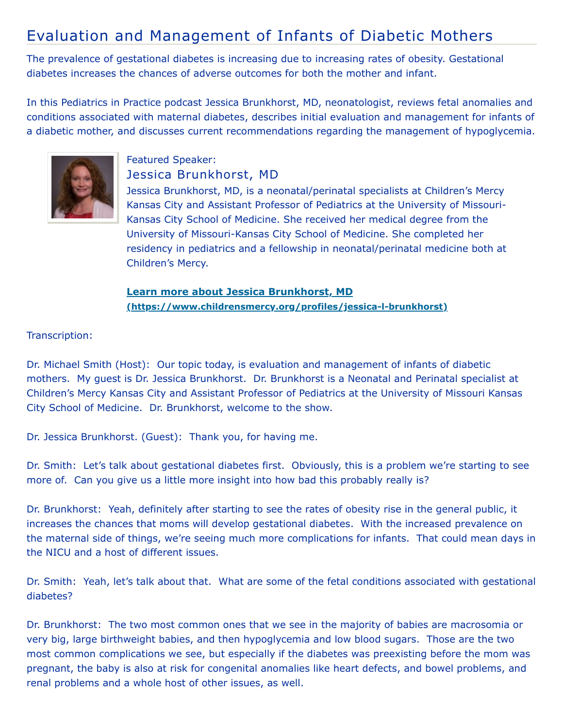## Evaluation and Management of Infants of Diabetic Mothers

The prevalence of gestational diabetes is increasing due to increasing rates of obesity. Gestational diabetes increases the chances of adverse outcomes for both the mother and infant.

In this Pediatrics in Practice podcast Jessica Brunkhorst, MD, neonatologist, reviews fetal anomalies and conditions associated with maternal diabetes, describes initial evaluation and management for infants of a diabetic mother, and discusses current recommendations regarding the management of hypoglycemia.



## Featured Speaker: Jessica Brunkhorst, MD

Jessica Brunkhorst, MD, is a neonatal/perinatal specialists at Children's Mercy Kansas City and Assistant Professor of Pediatrics at the University of Missouri-Kansas City School of Medicine. She received her medical degree from the University of Missouri-Kansas City School of Medicine. She completed her residency in pediatrics and a fellowship in neonatal/perinatal medicine both at Children's Mercy.

## **Learn more about Jessica Brunkhorst, MD [\(https://www.childrensmercy.org/profiles/jessica-l-brunkhorst\)](https://www.childrensmercy.org/profiles/jessica-l-brunkhorst)**

## Transcription:

Dr. Michael Smith (Host): Our topic today, is evaluation and management of infants of diabetic mothers. My guest is Dr. Jessica Brunkhorst. Dr. Brunkhorst is a Neonatal and Perinatal specialist at Children's Mercy Kansas City and Assistant Professor of Pediatrics at the University of Missouri Kansas City School of Medicine. Dr. Brunkhorst, welcome to the show.

Dr. Jessica Brunkhorst. (Guest): Thank you, for having me.

Dr. Smith: Let's talk about gestational diabetes first. Obviously, this is a problem we're starting to see more of. Can you give us a little more insight into how bad this probably really is?

Dr. Brunkhorst: Yeah, definitely after starting to see the rates of obesity rise in the general public, it increases the chances that moms will develop gestational diabetes. With the increased prevalence on the maternal side of things, we're seeing much more complications for infants. That could mean days in the NICU and a host of different issues.

Dr. Smith: Yeah, let's talk about that. What are some of the fetal conditions associated with gestational diabetes?

Dr. Brunkhorst: The two most common ones that we see in the majority of babies are macrosomia or very big, large birthweight babies, and then hypoglycemia and low blood sugars. Those are the two most common complications we see, but especially if the diabetes was preexisting before the mom was pregnant, the baby is also at risk for congenital anomalies like heart defects, and bowel problems, and renal problems and a whole host of other issues, as well.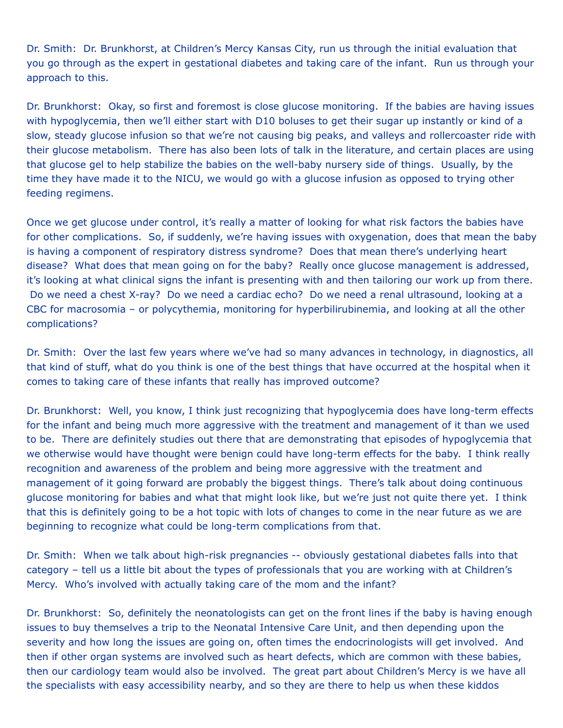Dr. Smith: Dr. Brunkhorst, at Children's Mercy Kansas City, run us through the initial evaluation that you go through as the expert in gestational diabetes and taking care of the infant. Run us through your approach to this.

Dr. Brunkhorst: Okay, so first and foremost is close glucose monitoring. If the babies are having issues with hypoglycemia, then we'll either start with D10 boluses to get their sugar up instantly or kind of a slow, steady glucose infusion so that we're not causing big peaks, and valleys and rollercoaster ride with their glucose metabolism. There has also been lots of talk in the literature, and certain places are using that glucose gel to help stabilize the babies on the well-baby nursery side of things. Usually, by the time they have made it to the NICU, we would go with a glucose infusion as opposed to trying other feeding regimens.

Once we get glucose under control, it's really a matter of looking for what risk factors the babies have for other complications. So, if suddenly, we're having issues with oxygenation, does that mean the baby is having a component of respiratory distress syndrome? Does that mean there's underlying heart disease? What does that mean going on for the baby? Really once glucose management is addressed, it's looking at what clinical signs the infant is presenting with and then tailoring our work up from there. Do we need a chest X-ray? Do we need a cardiac echo? Do we need a renal ultrasound, looking at a CBC for macrosomia – or polycythemia, monitoring for hyperbilirubinemia, and looking at all the other complications?

Dr. Smith: Over the last few years where we've had so many advances in technology, in diagnostics, all that kind of stuff, what do you think is one of the best things that have occurred at the hospital when it comes to taking care of these infants that really has improved outcome?

Dr. Brunkhorst: Well, you know, I think just recognizing that hypoglycemia does have long-term effects for the infant and being much more aggressive with the treatment and management of it than we used to be. There are definitely studies out there that are demonstrating that episodes of hypoglycemia that we otherwise would have thought were benign could have long-term effects for the baby. I think really recognition and awareness of the problem and being more aggressive with the treatment and management of it going forward are probably the biggest things. There's talk about doing continuous glucose monitoring for babies and what that might look like, but we're just not quite there yet. I think that this is definitely going to be a hot topic with lots of changes to come in the near future as we are beginning to recognize what could be long-term complications from that.

Dr. Smith: When we talk about high-risk pregnancies -- obviously gestational diabetes falls into that category – tell us a little bit about the types of professionals that you are working with at Children's Mercy. Who's involved with actually taking care of the mom and the infant?

Dr. Brunkhorst: So, definitely the neonatologists can get on the front lines if the baby is having enough issues to buy themselves a trip to the Neonatal Intensive Care Unit, and then depending upon the severity and how long the issues are going on, often times the endocrinologists will get involved. And then if other organ systems are involved such as heart defects, which are common with these babies, then our cardiology team would also be involved. The great part about Children's Mercy is we have all the specialists with easy accessibility nearby, and so they are there to help us when these kiddos